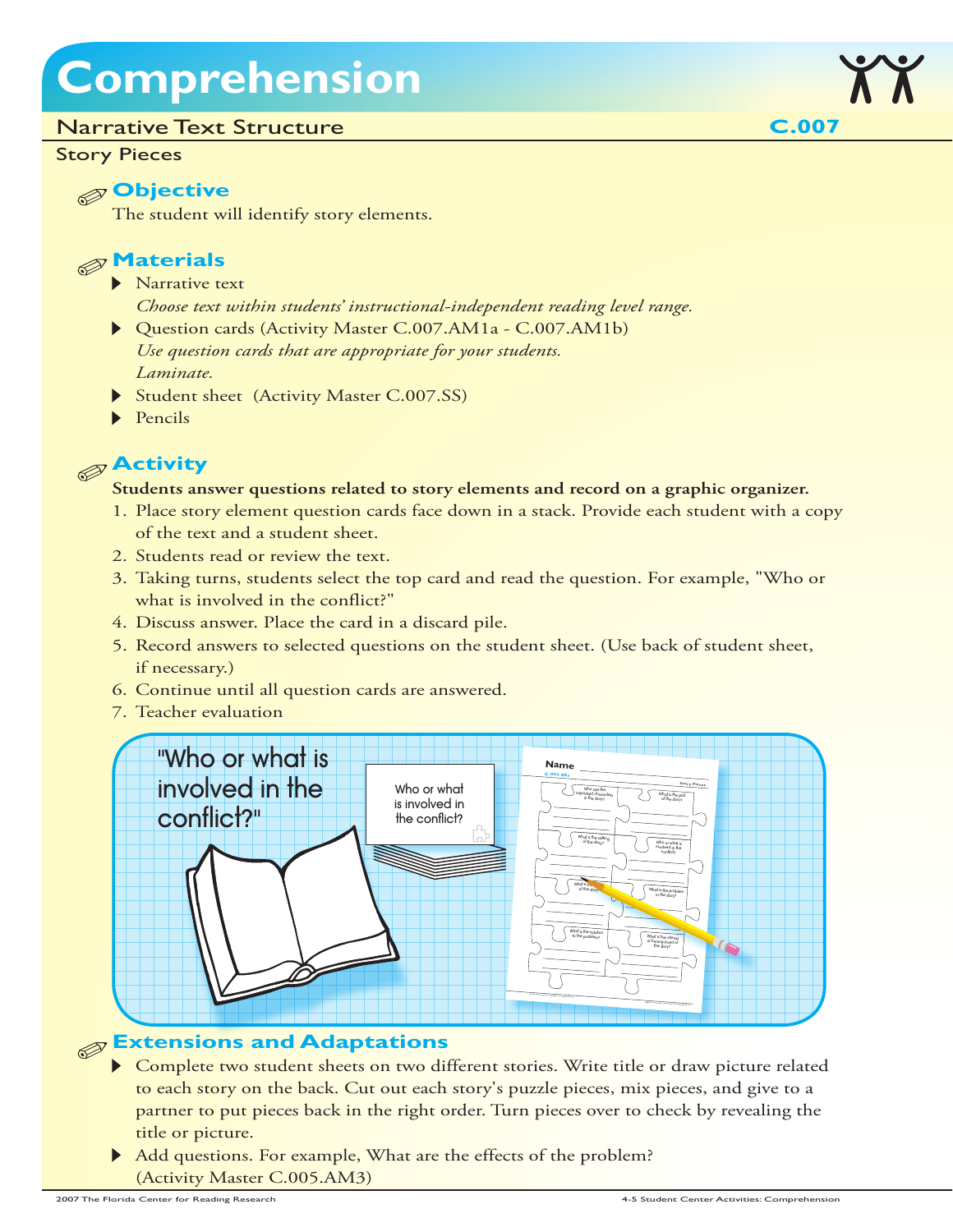## **Comprehension**

#### Narrative Text Structure

#### Story Pieces

#### **Objective**

The student will identify story elements.



- Narrative text
	- *Choose text within students' instructional-independent reading level range.*
- Question cards (Activity Master C.007.AM1a C.007.AM1b) *Use question cards that are appropriate for your students. Laminate.*
- Student sheet (Activity Master C.007.SS)
- $\blacktriangleright$  Pencils

### **Activity**

#### **Students answer questions related to story elements and record on a graphic organizer.**

- 1. Place story element question cards face down in a stack. Provide each student with a copy of the text and a student sheet.
- 2. Students read or review the text.
- 3. Taking turns, students select the top card and read the question. For example, "Who or what is involved in the conflict?"
- 4. Discuss answer. Place the card in a discard pile.
- 5. Record answers to selected questions on the student sheet. (Use back of student sheet, if necessary.)
- 6. Continue until all question cards are answered.
- 7. Teacher evaluation



#### **Extensions and Adaptations**

- Complete two student sheets on two different stories. Write title or draw picture related to each story on the back. Cut out each story's puzzle pieces, mix pieces, and give to a partner to put pieces back in the right order. Turn pieces over to check by revealing the title or picture.
- Add questions. For example, What are the effects of the problem? (Activity Master C.005.AM3)

**C.007**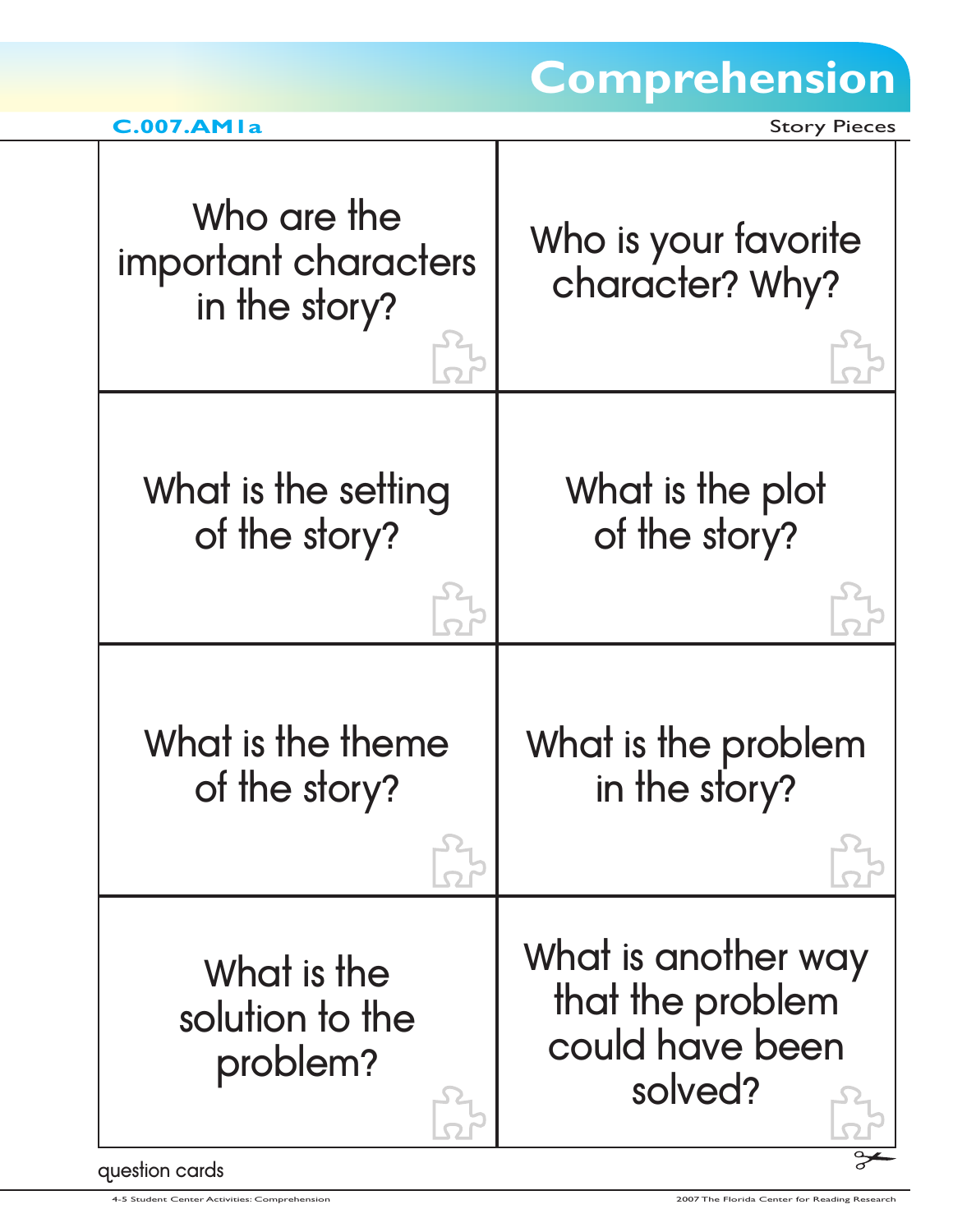## **Comprehension**

| C.007.AM1a |  |
|------------|--|

**Story Pieces** 

| Who are the<br>important characters<br>in the story? | Who is your favorite<br>character? Why?                               |
|------------------------------------------------------|-----------------------------------------------------------------------|
| What is the setting                                  | What is the plot                                                      |
| of the story?                                        | of the story?                                                         |
| What is the theme                                    | What is the problem                                                   |
| of the story?                                        | in the story?                                                         |
| What is the<br>solution to the<br>problem?           | What is another way<br>that the problem<br>could have been<br>solved? |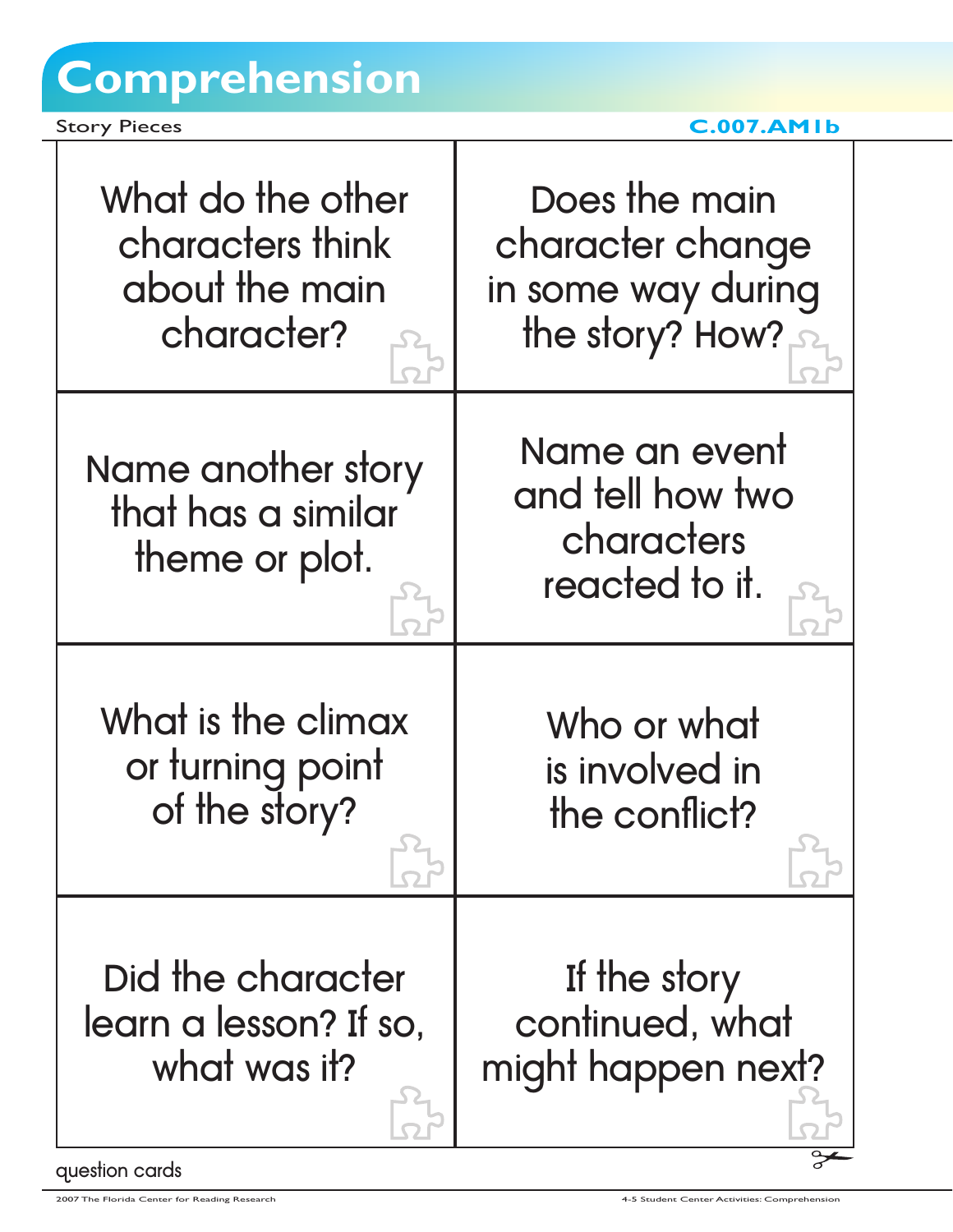# **Comprehension**

Story Pieces **C.007.AM1b** 

| What do the other                                                             | Does the main                                                     |
|-------------------------------------------------------------------------------|-------------------------------------------------------------------|
| characters think                                                              | character change                                                  |
| about the main                                                                | in some way during                                                |
| character?                                                                    | the story? How?                                                   |
| Name another story<br>that has a similar<br>theme or plot.                    | Name an event<br>and tell how two<br>characters<br>reacted to it. |
| What is the climax                                                            | Who or what                                                       |
| or turning point                                                              | is involved in                                                    |
| of the story?                                                                 | the conflict?                                                     |
| Did the character<br>learn a lesson? If so,<br>what was it?<br>question cards | If the story<br>continued, what<br>might happen next?             |

ı